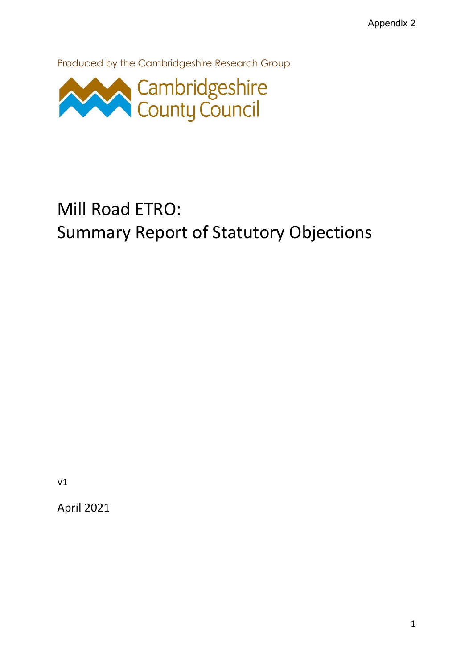Produced by the Cambridgeshire Research Group



# Mill Road ETRO: Summary Report of Statutory Objections

V1

April 2021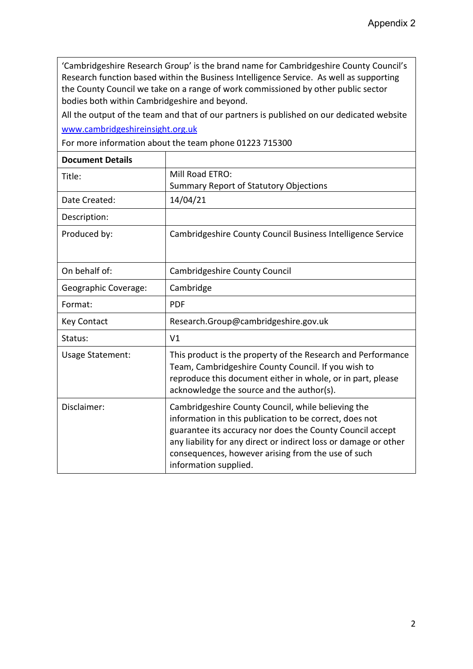'Cambridgeshire Research Group' is the brand name for Cambridgeshire County Council's Research function based within the Business Intelligence Service. As well as supporting the County Council we take on a range of work commissioned by other public sector bodies both within Cambridgeshire and beyond.

All the output of the team and that of our partners is published on our dedicated website [www.cambridgeshireinsight.org.uk](http://www.cambridgeshireinsight.org.uk/)

For more information about the team phone 01223 715300

| <b>Document Details</b> |                                                                                                                                                                                                                                                                                                                               |
|-------------------------|-------------------------------------------------------------------------------------------------------------------------------------------------------------------------------------------------------------------------------------------------------------------------------------------------------------------------------|
| Title:                  | Mill Road ETRO:<br><b>Summary Report of Statutory Objections</b>                                                                                                                                                                                                                                                              |
| Date Created:           | 14/04/21                                                                                                                                                                                                                                                                                                                      |
| Description:            |                                                                                                                                                                                                                                                                                                                               |
| Produced by:            | Cambridgeshire County Council Business Intelligence Service                                                                                                                                                                                                                                                                   |
| On behalf of:           | Cambridgeshire County Council                                                                                                                                                                                                                                                                                                 |
| Geographic Coverage:    | Cambridge                                                                                                                                                                                                                                                                                                                     |
| Format:                 | <b>PDF</b>                                                                                                                                                                                                                                                                                                                    |
| <b>Key Contact</b>      | Research.Group@cambridgeshire.gov.uk                                                                                                                                                                                                                                                                                          |
| Status:                 | V <sub>1</sub>                                                                                                                                                                                                                                                                                                                |
| <b>Usage Statement:</b> | This product is the property of the Research and Performance<br>Team, Cambridgeshire County Council. If you wish to<br>reproduce this document either in whole, or in part, please<br>acknowledge the source and the author(s).                                                                                               |
| Disclaimer:             | Cambridgeshire County Council, while believing the<br>information in this publication to be correct, does not<br>guarantee its accuracy nor does the County Council accept<br>any liability for any direct or indirect loss or damage or other<br>consequences, however arising from the use of such<br>information supplied. |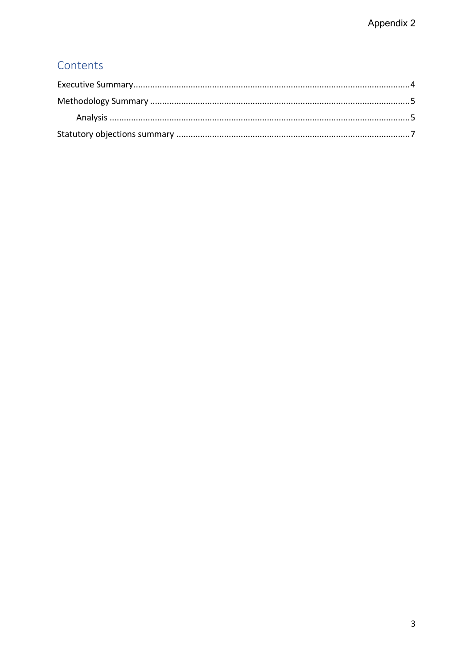# Contents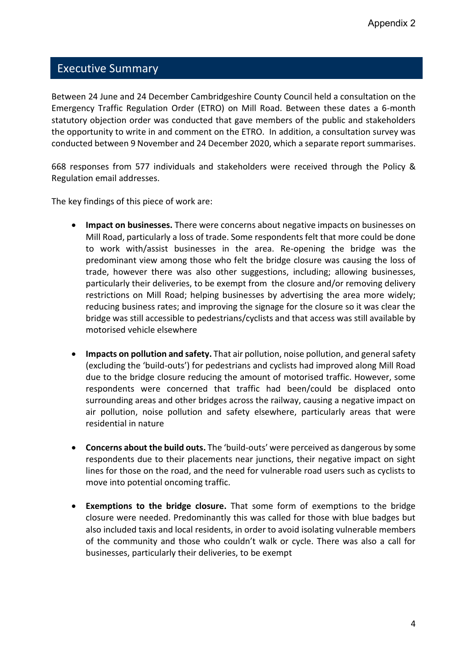#### <span id="page-3-0"></span>Executive Summary

Between 24 June and 24 December Cambridgeshire County Council held a consultation on the Emergency Traffic Regulation Order (ETRO) on Mill Road. Between these dates a 6-month statutory objection order was conducted that gave members of the public and stakeholders the opportunity to write in and comment on the ETRO. In addition, a consultation survey was conducted between 9 November and 24 December 2020, which a separate report summarises.

668 responses from 577 individuals and stakeholders were received through the Policy & Regulation email addresses.

The key findings of this piece of work are:

- **Impact on businesses.** There were concerns about negative impacts on businesses on Mill Road, particularly a loss of trade. Some respondents felt that more could be done to work with/assist businesses in the area. Re-opening the bridge was the predominant view among those who felt the bridge closure was causing the loss of trade, however there was also other suggestions, including; allowing businesses, particularly their deliveries, to be exempt from the closure and/or removing delivery restrictions on Mill Road; helping businesses by advertising the area more widely; reducing business rates; and improving the signage for the closure so it was clear the bridge was still accessible to pedestrians/cyclists and that access was still available by motorised vehicle elsewhere
- **Impacts on pollution and safety.** That air pollution, noise pollution, and general safety (excluding the 'build-outs') for pedestrians and cyclists had improved along Mill Road due to the bridge closure reducing the amount of motorised traffic. However, some respondents were concerned that traffic had been/could be displaced onto surrounding areas and other bridges across the railway, causing a negative impact on air pollution, noise pollution and safety elsewhere, particularly areas that were residential in nature
- **Concerns about the build outs.** The 'build-outs' were perceived as dangerous by some respondents due to their placements near junctions, their negative impact on sight lines for those on the road, and the need for vulnerable road users such as cyclists to move into potential oncoming traffic.
- **Exemptions to the bridge closure.** That some form of exemptions to the bridge closure were needed. Predominantly this was called for those with blue badges but also included taxis and local residents, in order to avoid isolating vulnerable members of the community and those who couldn't walk or cycle. There was also a call for businesses, particularly their deliveries, to be exempt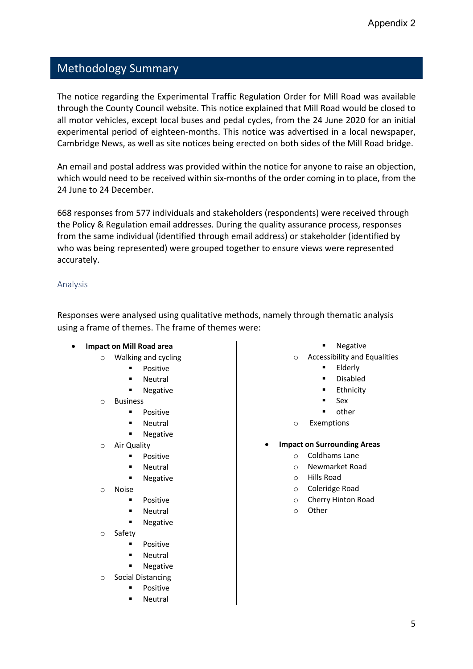## <span id="page-4-0"></span>Methodology Summary

The notice regarding the Experimental Traffic Regulation Order for Mill Road was available through the County Council website. This notice explained that Mill Road would be closed to all motor vehicles, except local buses and pedal cycles, from the 24 June 2020 for an initial experimental period of eighteen-months. This notice was advertised in a local newspaper, Cambridge News, as well as site notices being erected on both sides of the Mill Road bridge.

An email and postal address was provided within the notice for anyone to raise an objection, which would need to be received within six-months of the order coming in to place, from the 24 June to 24 December.

668 responses from 577 individuals and stakeholders (respondents) were received through the Policy & Regulation email addresses. During the quality assurance process, responses from the same individual (identified through email address) or stakeholder (identified by who was being represented) were grouped together to ensure views were represented accurately.

#### <span id="page-4-1"></span>Analysis

Responses were analysed using qualitative methods, namely through thematic analysis using a frame of themes. The frame of themes were:

- **Impact on Mill Road area**
	- o Walking and cycling
		- **Positive**
		- Neutral
		- Negative
	- o Business
		- Positive
		- Neutral
		- Negative
	- o Air Quality
		- Positive
		- Neutral
		- Negative
	- o Noise
		- Positive
		- Neutral
		- **Negative**
	- o Safety
		- Positive
		- Neutral
		- Negative
	- o Social Distancing
		- Positive
		- Neutral
- Negative
- o Accessibility and Equalities
	- **Elderly**
	- **Disabled**
	- Ethnicity
	- **Sex**
	- other
- o Exemptions
- **Impact on Surrounding Areas**
	- o Coldhams Lane
		- o Newmarket Road
		- o Hills Road
		- o Coleridge Road
		- o Cherry Hinton Road
		- o Other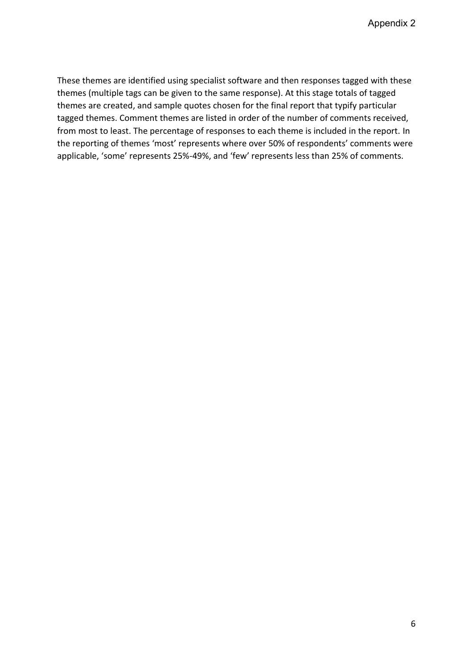These themes are identified using specialist software and then responses tagged with these themes (multiple tags can be given to the same response). At this stage totals of tagged themes are created, and sample quotes chosen for the final report that typify particular tagged themes. Comment themes are listed in order of the number of comments received, from most to least. The percentage of responses to each theme is included in the report. In the reporting of themes 'most' represents where over 50% of respondents' comments were applicable, 'some' represents 25%-49%, and 'few' represents less than 25% of comments.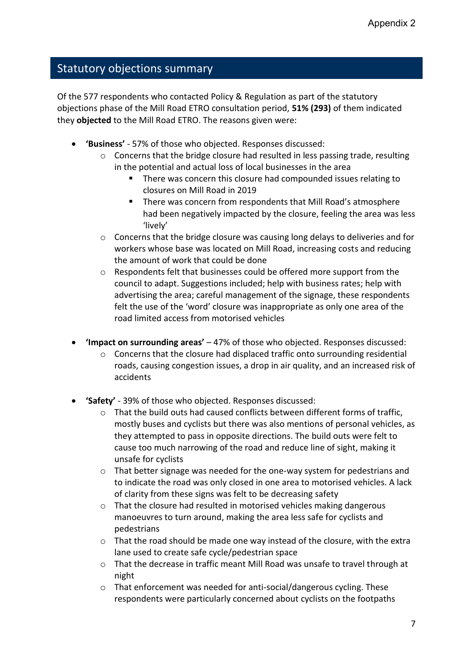### <span id="page-6-0"></span>Statutory objections summary

Of the 577 respondents who contacted Policy & Regulation as part of the statutory objections phase of the Mill Road ETRO consultation period, **51% (293)** of them indicated they **objected** to the Mill Road ETRO. The reasons given were:

- **'Business'** 57% of those who objected. Responses discussed:
	- $\circ$  Concerns that the bridge closure had resulted in less passing trade, resulting in the potential and actual loss of local businesses in the area
		- There was concern this closure had compounded issues relating to closures on Mill Road in 2019
		- There was concern from respondents that Mill Road's atmosphere had been negatively impacted by the closure, feeling the area was less 'lively'
	- $\circ$  Concerns that the bridge closure was causing long delays to deliveries and for workers whose base was located on Mill Road, increasing costs and reducing the amount of work that could be done
	- $\circ$  Respondents felt that businesses could be offered more support from the council to adapt. Suggestions included; help with business rates; help with advertising the area; careful management of the signage, these respondents felt the use of the 'word' closure was inappropriate as only one area of the road limited access from motorised vehicles
- **'Impact on surrounding areas'** 47% of those who objected. Responses discussed:
	- $\circ$  Concerns that the closure had displaced traffic onto surrounding residential roads, causing congestion issues, a drop in air quality, and an increased risk of accidents
- **'Safety'**  39% of those who objected. Responses discussed:
	- $\circ$  That the build outs had caused conflicts between different forms of traffic, mostly buses and cyclists but there was also mentions of personal vehicles, as they attempted to pass in opposite directions. The build outs were felt to cause too much narrowing of the road and reduce line of sight, making it unsafe for cyclists
	- o That better signage was needed for the one-way system for pedestrians and to indicate the road was only closed in one area to motorised vehicles. A lack of clarity from these signs was felt to be decreasing safety
	- o That the closure had resulted in motorised vehicles making dangerous manoeuvres to turn around, making the area less safe for cyclists and pedestrians
	- $\circ$  That the road should be made one way instead of the closure, with the extra lane used to create safe cycle/pedestrian space
	- o That the decrease in traffic meant Mill Road was unsafe to travel through at night
	- o That enforcement was needed for anti-social/dangerous cycling. These respondents were particularly concerned about cyclists on the footpaths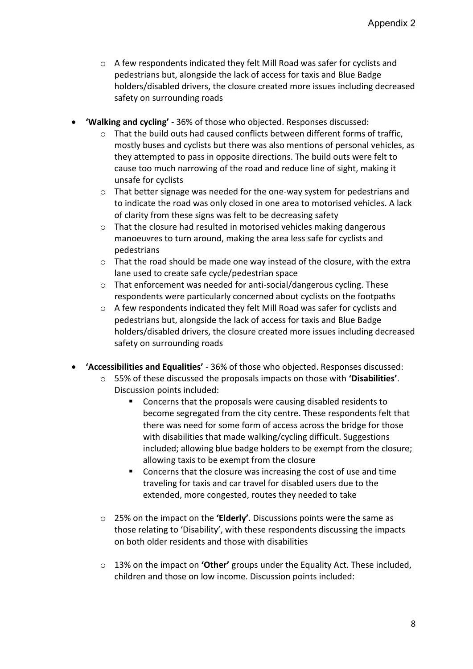- $\circ$  A few respondents indicated they felt Mill Road was safer for cyclists and pedestrians but, alongside the lack of access for taxis and Blue Badge holders/disabled drivers, the closure created more issues including decreased safety on surrounding roads
- **'Walking and cycling'** 36% of those who objected. Responses discussed:
	- $\circ$  That the build outs had caused conflicts between different forms of traffic, mostly buses and cyclists but there was also mentions of personal vehicles, as they attempted to pass in opposite directions. The build outs were felt to cause too much narrowing of the road and reduce line of sight, making it unsafe for cyclists
	- $\circ$  That better signage was needed for the one-way system for pedestrians and to indicate the road was only closed in one area to motorised vehicles. A lack of clarity from these signs was felt to be decreasing safety
	- $\circ$  That the closure had resulted in motorised vehicles making dangerous manoeuvres to turn around, making the area less safe for cyclists and pedestrians
	- $\circ$  That the road should be made one way instead of the closure, with the extra lane used to create safe cycle/pedestrian space
	- o That enforcement was needed for anti-social/dangerous cycling. These respondents were particularly concerned about cyclists on the footpaths
	- o A few respondents indicated they felt Mill Road was safer for cyclists and pedestrians but, alongside the lack of access for taxis and Blue Badge holders/disabled drivers, the closure created more issues including decreased safety on surrounding roads
- **'Accessibilities and Equalities'** 36% of those who objected. Responses discussed:
	- o 55% of these discussed the proposals impacts on those with **'Disabilities'**. Discussion points included:
		- Concerns that the proposals were causing disabled residents to become segregated from the city centre. These respondents felt that there was need for some form of access across the bridge for those with disabilities that made walking/cycling difficult. Suggestions included; allowing blue badge holders to be exempt from the closure; allowing taxis to be exempt from the closure
		- Concerns that the closure was increasing the cost of use and time traveling for taxis and car travel for disabled users due to the extended, more congested, routes they needed to take
	- o 25% on the impact on the **'Elderly'**. Discussions points were the same as those relating to 'Disability', with these respondents discussing the impacts on both older residents and those with disabilities
	- o 13% on the impact on **'Other'** groups under the Equality Act. These included, children and those on low income. Discussion points included: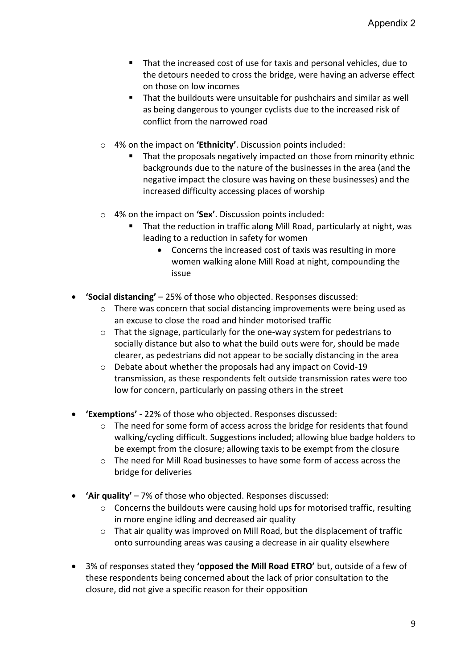- That the increased cost of use for taxis and personal vehicles, due to the detours needed to cross the bridge, were having an adverse effect on those on low incomes
- That the buildouts were unsuitable for pushchairs and similar as well as being dangerous to younger cyclists due to the increased risk of conflict from the narrowed road
- o 4% on the impact on **'Ethnicity'**. Discussion points included:
	- That the proposals negatively impacted on those from minority ethnic backgrounds due to the nature of the businesses in the area (and the negative impact the closure was having on these businesses) and the increased difficulty accessing places of worship
- o 4% on the impact on **'Sex'**. Discussion points included:
	- That the reduction in traffic along Mill Road, particularly at night, was leading to a reduction in safety for women
		- Concerns the increased cost of taxis was resulting in more women walking alone Mill Road at night, compounding the issue
- **'Social distancing'** 25% of those who objected. Responses discussed:
	- o There was concern that social distancing improvements were being used as an excuse to close the road and hinder motorised traffic
	- o That the signage, particularly for the one-way system for pedestrians to socially distance but also to what the build outs were for, should be made clearer, as pedestrians did not appear to be socially distancing in the area
	- o Debate about whether the proposals had any impact on Covid-19 transmission, as these respondents felt outside transmission rates were too low for concern, particularly on passing others in the street
- **'Exemptions'** 22% of those who objected. Responses discussed:
	- o The need for some form of access across the bridge for residents that found walking/cycling difficult. Suggestions included; allowing blue badge holders to be exempt from the closure; allowing taxis to be exempt from the closure
	- $\circ$  The need for Mill Road businesses to have some form of access across the bridge for deliveries
- **'Air quality'** 7% of those who objected. Responses discussed:
	- o Concerns the buildouts were causing hold ups for motorised traffic, resulting in more engine idling and decreased air quality
	- $\circ$  That air quality was improved on Mill Road, but the displacement of traffic onto surrounding areas was causing a decrease in air quality elsewhere
- 3% of responses stated they **'opposed the Mill Road ETRO'** but, outside of a few of these respondents being concerned about the lack of prior consultation to the closure, did not give a specific reason for their opposition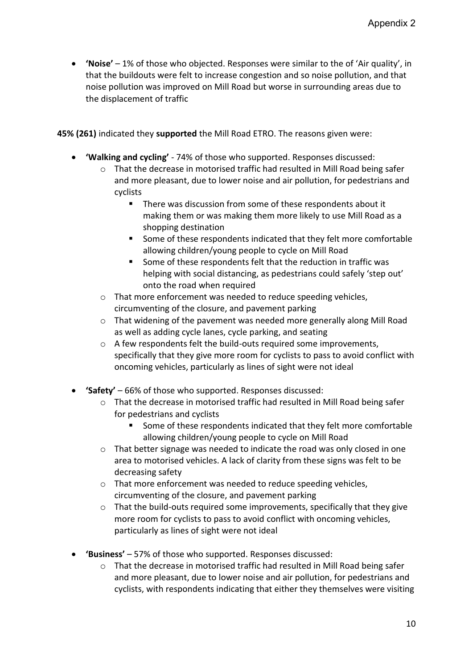• **'Noise'** – 1% of those who objected. Responses were similar to the of 'Air quality', in that the buildouts were felt to increase congestion and so noise pollution, and that noise pollution was improved on Mill Road but worse in surrounding areas due to the displacement of traffic

**45% (261)** indicated they **supported** the Mill Road ETRO. The reasons given were:

- **'Walking and cycling'** 74% of those who supported. Responses discussed:
	- o That the decrease in motorised traffic had resulted in Mill Road being safer and more pleasant, due to lower noise and air pollution, for pedestrians and cyclists
		- There was discussion from some of these respondents about it making them or was making them more likely to use Mill Road as a shopping destination
		- Some of these respondents indicated that they felt more comfortable allowing children/young people to cycle on Mill Road
		- Some of these respondents felt that the reduction in traffic was helping with social distancing, as pedestrians could safely 'step out' onto the road when required
	- o That more enforcement was needed to reduce speeding vehicles, circumventing of the closure, and pavement parking
	- $\circ$  That widening of the pavement was needed more generally along Mill Road as well as adding cycle lanes, cycle parking, and seating
	- o A few respondents felt the build-outs required some improvements, specifically that they give more room for cyclists to pass to avoid conflict with oncoming vehicles, particularly as lines of sight were not ideal
- **'Safety'** 66% of those who supported. Responses discussed:
	- $\circ$  That the decrease in motorised traffic had resulted in Mill Road being safer for pedestrians and cyclists
		- Some of these respondents indicated that they felt more comfortable allowing children/young people to cycle on Mill Road
	- $\circ$  That better signage was needed to indicate the road was only closed in one area to motorised vehicles. A lack of clarity from these signs was felt to be decreasing safety
	- $\circ$  That more enforcement was needed to reduce speeding vehicles, circumventing of the closure, and pavement parking
	- $\circ$  That the build-outs required some improvements, specifically that they give more room for cyclists to pass to avoid conflict with oncoming vehicles, particularly as lines of sight were not ideal
- **'Business'** 57% of those who supported. Responses discussed:
	- $\circ$  That the decrease in motorised traffic had resulted in Mill Road being safer and more pleasant, due to lower noise and air pollution, for pedestrians and cyclists, with respondents indicating that either they themselves were visiting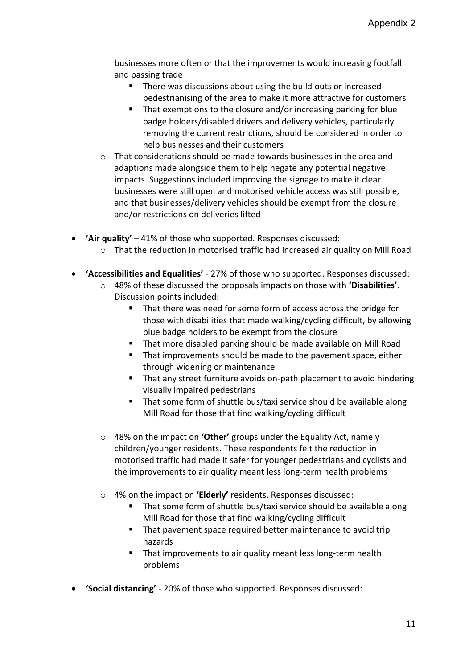businesses more often or that the improvements would increasing footfall and passing trade

- There was discussions about using the build outs or increased pedestrianising of the area to make it more attractive for customers
- That exemptions to the closure and/or increasing parking for blue badge holders/disabled drivers and delivery vehicles, particularly removing the current restrictions, should be considered in order to help businesses and their customers
- o That considerations should be made towards businesses in the area and adaptions made alongside them to help negate any potential negative impacts. Suggestions included improving the signage to make it clear businesses were still open and motorised vehicle access was still possible, and that businesses/delivery vehicles should be exempt from the closure and/or restrictions on deliveries lifted
- **'Air quality'** 41% of those who supported. Responses discussed:
	- $\circ$  That the reduction in motorised traffic had increased air quality on Mill Road
- **'Accessibilities and Equalities'** 27% of those who supported. Responses discussed:
	- o 48% of these discussed the proposals impacts on those with **'Disabilities'**. Discussion points included:
		- That there was need for some form of access across the bridge for those with disabilities that made walking/cycling difficult, by allowing blue badge holders to be exempt from the closure
		- That more disabled parking should be made available on Mill Road
		- That improvements should be made to the pavement space, either through widening or maintenance
		- That any street furniture avoids on-path placement to avoid hindering visually impaired pedestrians
		- That some form of shuttle bus/taxi service should be available along Mill Road for those that find walking/cycling difficult
	- o 48% on the impact on **'Other'** groups under the Equality Act, namely children/younger residents. These respondents felt the reduction in motorised traffic had made it safer for younger pedestrians and cyclists and the improvements to air quality meant less long-term health problems
	- o 4% on the impact on **'Elderly'** residents. Responses discussed:
		- That some form of shuttle bus/taxi service should be available along Mill Road for those that find walking/cycling difficult
		- That pavement space required better maintenance to avoid trip hazards
		- That improvements to air quality meant less long-term health problems
- **'Social distancing'** 20% of those who supported. Responses discussed: